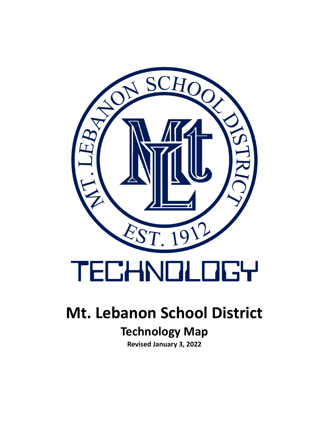

### **Mt. Lebanon School District**

### **Technology Map**

**Revised January 3, 2022**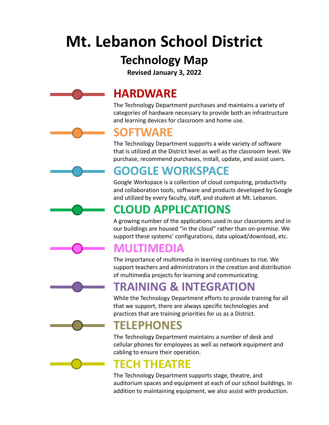### **Mt. Lebanon School District**

### **Technology Map**

**Revised January 3, 2022**

### **HARDWARE**

The Technology Department purchases and maintains a variety of categories of hardware necessary to provide both an infrastructure and learning devices for classroom and home use.

### **SOFTWARE**

The Technology Department supports a wide variety of software that is utilized at the District level as well as the classroom level. We purchase, recommend purchases, install, update, and assist users.

### **GOOGLE WORKSPACE**

Google Workspace is a collection of cloud computing, productivity and collaboration tools, software and products developed by Google and utilized by every faculty, staff, and student at Mt. Lebanon.

### **CLOUD APPLICATIONS**

A growing number of the applications used in our classrooms and in our buildings are housed "in the cloud" rather than on-premise. We support these systems' configurations, data upload/download, etc.

### **MULTIMEDIA**

The importance of multimedia in learning continues to rise. We support teachers and administrators in the creation and distribution of multimedia projects for learning and communicating.

### **TRAINING & INTEGRATION**

While the Technology Department efforts to provide training for all that we support, there are always specific technologies and practices that are training priorities for us as a District.

### **TELEPHONES**

The Technology Department maintains a number of desk and cellular phones for employees as well as network equipment and cabling to ensure their operation.

### **TECH THEATRE**

The Technology Department supports stage, theatre, and auditorium spaces and equipment at each of our school buildings. In addition to maintaining equipment, we also assist with production.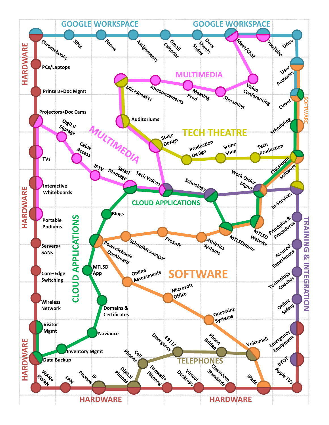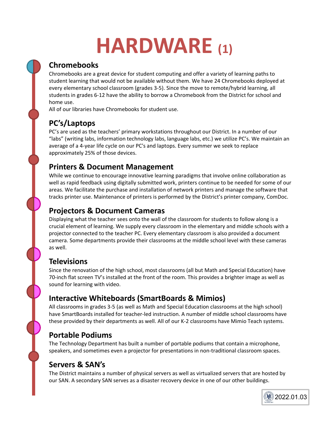# **HARDWARE (1)**

#### **Chromebooks**

Chromebooks are a great device for student computing and offer a variety of learning paths to student learning that would not be available without them. We have 24 Chromebooks deployed at every elementary school classroom (grades 3-5). Since the move to remote/hybrid learning, all students in grades 6-12 have the ability to borrow a Chromebook from the District for school and home use.

All of our libraries have Chromebooks for student use.

#### **PC's/Laptops**

PC's are used as the teachers' primary workstations throughout our District. In a number of our "labs" (writing labs, information technology labs, language labs, etc.) we utilize PC's. We maintain an average of a 4-year life cycle on our PC's and laptops. Every summer we seek to replace approximately 25% of those devices.

#### **Printers & Document Management**

While we continue to encourage innovative learning paradigms that involve online collaboration as well as rapid feedback using digitally submitted work, printers continue to be needed for some of our areas. We facilitate the purchase and installation of network printers and manage the software that tracks printer use. Maintenance of printers is performed by the District's printer company, ComDoc.

#### **Projectors & Document Cameras**

Displaying what the teacher sees onto the wall of the classroom for students to follow along is a crucial element of learning. We supply every classroom in the elementary and middle schools with a projector connected to the teacher PC. Every elementary classroom is also provided a document camera. Some departments provide their classrooms at the middle school level with these cameras as well.

#### **Televisions**

Since the renovation of the high school, most classrooms (all but Math and Special Education) have 70-inch flat screen TV's installed at the front of the room. This provides a brighter image as well as sound for learning with video.

#### **Interactive Whiteboards (SmartBoards & Mimios)**

All classrooms in grades 3-5 (as well as Math and Special Education classrooms at the high school) have SmartBoards installed for teacher-led instruction. A number of middle school classrooms have these provided by their departments as well. All of our K-2 classrooms have Mimio Teach systems.

#### **Portable Podiums**

The Technology Department has built a number of portable podiums that contain a microphone, speakers, and sometimes even a projector for presentations in non-traditional classroom spaces.

#### **Servers & SAN's**

The District maintains a number of physical servers as well as virtualized servers that are hosted by our SAN. A secondary SAN serves as a disaster recovery device in one of our other buildings.

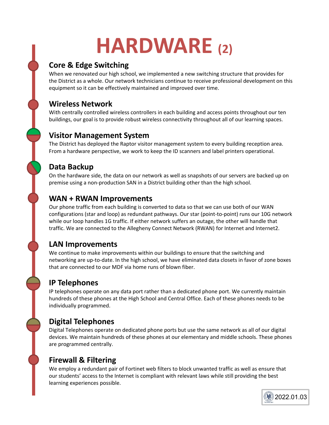# **HARDWARE (2)**

#### **Core & Edge Switching**

When we renovated our high school, we implemented a new switching structure that provides for the District as a whole. Our network technicians continue to receive professional development on this equipment so it can be effectively maintained and improved over time.

#### **Wireless Network**

With centrally controlled wireless controllers in each building and access points throughout our ten buildings, our goal is to provide robust wireless connectivity throughout all of our learning spaces.

#### **Visitor Management System**

The District has deployed the Raptor visitor management system to every building reception area. From a hardware perspective, we work to keep the ID scanners and label printers operational.

#### **Data Backup**

On the hardware side, the data on our network as well as snapshots of our servers are backed up on premise using a non-production SAN in a District building other than the high school.

#### **WAN + RWAN Improvements**

Our phone traffic from each building is converted to data so that we can use both of our WAN configurations (star and loop) as redundant pathways. Our star (point-to-point) runs our 10G network while our loop handles 1G traffic. If either network suffers an outage, the other will handle that traffic. We are connected to the Allegheny Connect Network (RWAN) for Internet and Internet2.

#### **LAN Improvements**

We continue to make improvements within our buildings to ensure that the switching and networking are up-to-date. In the high school, we have eliminated data closets in favor of zone boxes that are connected to our MDF via home runs of blown fiber.

#### **IP Telephones**

IP telephones operate on any data port rather than a dedicated phone port. We currently maintain hundreds of these phones at the High School and Central Office. Each of these phones needs to be individually programmed.

#### **Digital Telephones**

Digital Telephones operate on dedicated phone ports but use the same network as all of our digital devices. We maintain hundreds of these phones at our elementary and middle schools. These phones are programmed centrally.

#### **Firewall & Filtering**

We employ a redundant pair of Fortinet web filters to block unwanted traffic as well as ensure that our students' access to the Internet is compliant with relevant laws while still providing the best learning experiences possible.

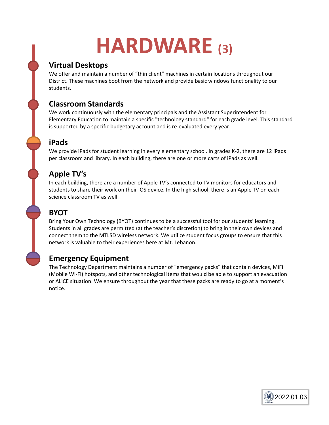## **HARDWARE (3)**

#### **Virtual Desktops**

We offer and maintain a number of "thin client" machines in certain locations throughout our District. These machines boot from the network and provide basic windows functionality to our students.

#### **Classroom Standards**

We work continuously with the elementary principals and the Assistant Superintendent for Elementary Education to maintain a specific "technology standard" for each grade level. This standard is supported by a specific budgetary account and is re-evaluated every year.

#### **iPads**

We provide iPads for student learning in every elementary school. In grades K-2, there are 12 iPads per classroom and library. In each building, there are one or more carts of iPads as well.

#### **Apple TV's**

In each building, there are a number of Apple TV's connected to TV monitors for educators and students to share their work on their iOS device. In the high school, there is an Apple TV on each science classroom TV as well.

#### **BYOT**

Bring Your Own Technology (BYOT) continues to be a successful tool for our students' learning. Students in all grades are permitted (at the teacher's discretion) to bring in their own devices and connect them to the MTLSD wireless network. We utilize student focus groups to ensure that this network is valuable to their experiences here at Mt. Lebanon.

#### **Emergency Equipment**

The Technology Department maintains a number of "emergency packs" that contain devices, MiFi (Mobile Wi-Fi) hotspots, and other technological items that would be able to support an evacuation or ALiCE situation. We ensure throughout the year that these packs are ready to go at a moment's notice.

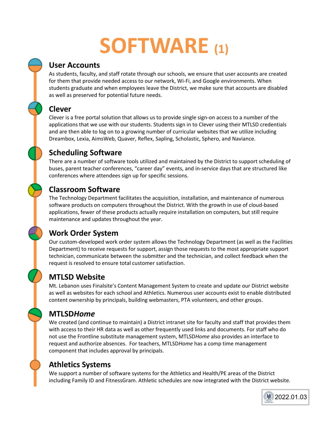# SOFTWARE (1)

#### **User Accounts**

As students, faculty, and staff rotate through our schools, we ensure that user accounts are created for them that provide needed access to our network, Wi-Fi, and Google environments. When students graduate and when employees leave the District, we make sure that accounts are disabled as well as preserved for potential future needs.

#### **Clever**

Clever is a free portal solution that allows us to provide single sign-on access to a number of the applications that we use with our students. Students sign in to Clever using their MTLSD credentials and are then able to log on to a growing number of curricular websites that we utilize including Dreambox, Lexia, AimsWeb, Quaver, Reflex, Sapling, Scholastic, Sphero, and Naviance.

#### **Scheduling Software**

There are a number of software tools utilized and maintained by the District to support scheduling of buses, parent teacher conferences, "career day" events, and in-service days that are structured like conferences where attendees sign up for specific sessions.

#### **Classroom Software**

The Technology Department facilitates the acquisition, installation, and maintenance of numerous software products on computers throughout the District. With the growth in use of cloud-based applications, fewer of these products actually require installation on computers, but still require maintenance and updates throughout the year.

#### **Work Order System**

Our custom-developed work order system allows the Technology Department (as well as the Facilities Department) to receive requests for support, assign those requests to the most appropriate support technician, communicate between the submitter and the technician, and collect feedback when the request is resolved to ensure total customer satisfaction.

#### **MTLSD Website**

Mt. Lebanon uses Finalsite's Content Management System to create and update our District website as well as websites for each school and Athletics. Numerous user accounts exist to enable distributed content ownership by principals, building webmasters, PTA volunteers, and other groups.

#### **MTLSD***Home*

We created (and continue to maintain) a District intranet site for faculty and staff that provides them with access to their HR data as well as other frequently used links and documents. For staff who do not use the Frontline substitute management system, MTLSD*Home* also provides an interface to request and authorize absences. For teachers, MTLSD*Home* has a comp time management component that includes approval by principals.

#### **Athletics Systems**

We support a number of software systems for the Athletics and Health/PE areas of the District including Family ID and FitnessGram. Athletic schedules are now integrated with the District website.

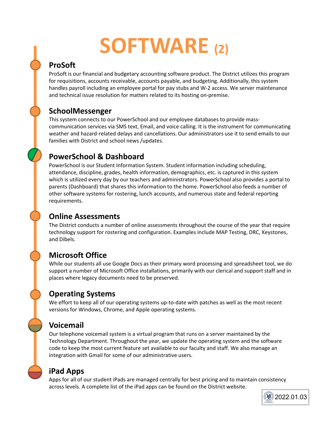# **SOFTWARE (2)**

#### **ProSoft**

ProSoft is our financial and budgetary accounting software product. The District utilizes this program for requisitions, accounts receivable, accounts payable, and budgeting. Additionally, this system handles payroll including an employee portal for pay stubs and W-2 access. We server maintenance and technical issue resolution for matters related to its hosting on-premise.

#### **SchoolMessenger**

This system connects to our PowerSchool and our employee databases to provide masscommunication services via SMS text, Email, and voice calling. It is the instrument for communicating weather and hazard-related delays and cancellations. Our administrators use it to send emails to our families with District and school news /updates.

#### **PowerSchool & Dashboard**

PowerSchool is our Student Information System. Student information including scheduling, attendance, discipline, grades, health information, demographics, etc. is captured in this system which is utilized every day by our teachers and administrators. PowerSchool also provides a portal to parents (Dashboard) that shares this information to the home. PowerSchool also feeds a number of other software systems for rostering, lunch accounts, and numerous state and federal reporting requirements.

#### **Online Assessments**

The District conducts a number of online assessments throughout the course of the year that require technology support for rostering and configuration. Examples include MAP Testing, DRC, Keystones, and Dibels.

#### **Microsoft Office**

While our students all use Google Docs as their primary word processing and spreadsheet tool, we do support a number of Microsoft Office installations, primarily with our clerical and support staff and in places where legacy documents need to be preserved.

#### **Operating Systems**

We effort to keep all of our operating systems up-to-date with patches as well as the most recent versions for Windows, Chrome, and Apple operating systems.

#### **Voicemail**

Our telephone voicemail system is a virtual program that runs on a server maintained by the Technology Department. Throughout the year, we update the operating system and the software code to keep the most current feature set available to our faculty and staff. We also manage an integration with Gmail for some of our administrative users.

#### **iPad Apps**

Apps for all of our student iPads are managed centrally for best pricing and to maintain consistency across levels. A complete list of the iPad apps can be found on the District website.

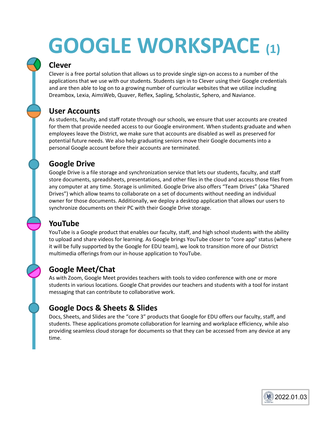# **GOOGLE WORKSPACE (1)**

#### **Clever**

Clever is a free portal solution that allows us to provide single sign-on access to a number of the applications that we use with our students. Students sign in to Clever using their Google credentials and are then able to log on to a growing number of curricular websites that we utilize including Dreambox, Lexia, AimsWeb, Quaver, Reflex, Sapling, Scholastic, Sphero, and Naviance.

#### **User Accounts**

As students, faculty, and staff rotate through our schools, we ensure that user accounts are created for them that provide needed access to our Google environment. When students graduate and when employees leave the District, we make sure that accounts are disabled as well as preserved for potential future needs. We also help graduating seniors move their Google documents into a personal Google account before their accounts are terminated.

#### **Google Drive**

Google Drive is a file storage and synchronization service that lets our students, faculty, and staff store documents, spreadsheets, presentations, and other files in the cloud and access those files from any computer at any time. Storage is unlimited. Google Drive also offers "Team Drives" (aka "Shared Drives") which allow teams to collaborate on a set of documents without needing an individual owner for those documents. Additionally, we deploy a desktop application that allows our users to synchronize documents on their PC with their Google Drive storage.

#### **YouTube**

YouTube is a Google product that enables our faculty, staff, and high school students with the ability to upload and share videos for learning. As Google brings YouTube closer to "core app" status (where it will be fully supported by the Google for EDU team), we look to transition more of our District multimedia offerings from our in-house application to YouTube.

#### **Google Meet/Chat**

As with Zoom, Google Meet provides teachers with tools to video conference with one or more students in various locations. Google Chat provides our teachers and students with a tool for instant messaging that can contribute to collaborative work.

#### **Google Docs & Sheets & Slides**

Docs, Sheets, and Slides are the "core 3" products that Google for EDU offers our faculty, staff, and students. These applications promote collaboration for learning and workplace efficiency, while also providing seamless cloud storage for documents so that they can be accessed from any device at any time.

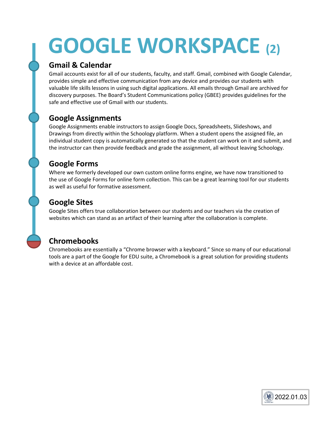# **GOOGLE WORKSPACE (2)**

#### **Gmail & Calendar**

Gmail accounts exist for all of our students, faculty, and staff. Gmail, combined with Google Calendar, provides simple and effective communication from any device and provides our students with valuable life skills lessons in using such digital applications. All emails through Gmail are archived for discovery purposes. The Board's Student Communications policy (GBEE) provides guidelines for the safe and effective use of Gmail with our students.

#### **Google Assignments**

Google Assignments enable instructors to assign Google Docs, Spreadsheets, Slideshows, and Drawings from directly within the Schoology platform. When a student opens the assigned file, an individual student copy is automatically generated so that the student can work on it and submit, and the instructor can then provide feedback and grade the assignment, all without leaving Schoology.

#### **Google Forms**

Where we formerly developed our own custom online forms engine, we have now transitioned to the use of Google Forms for online form collection. This can be a great learning tool for our students as well as useful for formative assessment.

#### **Google Sites**

Google Sites offers true collaboration between our students and our teachers via the creation of websites which can stand as an artifact of their learning after the collaboration is complete.

#### **Chromebooks**

Chromebooks are essentially a "Chrome browser with a keyboard." Since so many of our educational tools are a part of the Google for EDU suite, a Chromebook is a great solution for providing students with a device at an affordable cost.

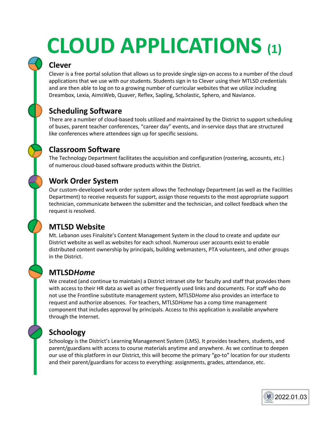# **CLOUD APPLICATIONS (1)**

#### **Clever**

Clever is a free portal solution that allows us to provide single sign-on access to a number of the cloud applications that we use with our students. Students sign in to Clever using their MTLSD credentials and are then able to log on to a growing number of curricular websites that we utilize including Dreambox, Lexia, AimsWeb, Quaver, Reflex, Sapling, Scholastic, Sphero, and Naviance.

#### **Scheduling Software**

There are a number of cloud-based tools utilized and maintained by the District to support scheduling of buses, parent teacher conferences, "career day" events, and in-service days that are structured like conferences where attendees sign up for specific sessions.

#### **Classroom Software**

The Technology Department facilitates the acquisition and configuration (rostering, accounts, etc.) of numerous cloud-based software products within the District.

#### **Work Order System**

Our custom-developed work order system allows the Technology Department (as well as the Facilities Department) to receive requests for support, assign those requests to the most appropriate support technician, communicate between the submitter and the technician, and collect feedback when the request is resolved.

#### **MTLSD Website**

Mt. Lebanon uses Finalsite's Content Management System in the cloud to create and update our District website as well as websites for each school. Numerous user accounts exist to enable distributed content ownership by principals, building webmasters, PTA volunteers, and other groups in the District.

#### **MTLSD***Home*

We created (and continue to maintain) a District intranet site for faculty and staff that provides them with access to their HR data as well as other frequently used links and documents. For staff who do not use the Frontline substitute management system, MTLSD*Home* also provides an interface to request and authorize absences. For teachers, MTLSD*Home* has a comp time management component that includes approval by principals. Access to this application is available anywhere through the Internet.

#### **Schoology**

Schoology is the District's Learning Management System (LMS). It provides teachers, students, and parent/guardians with access to course materials anytime and anywhere. As we continue to deepen our use of this platform in our District, this will become the primary "go-to" location for our students and their parent/guardians for access to everything: assignments, grades, attendance, etc.

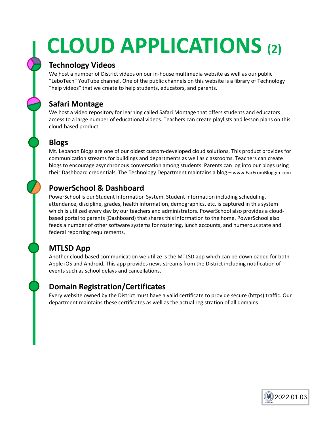# **CLOUD APPLICATIONS (2)**

#### **Technology Videos**

We host a number of District videos on our in-house multimedia website as well as our public "LeboTech" YouTube channel. One of the public channels on this website is a library of Technology "help videos" that we create to help students, educators, and parents.

#### **Safari Montage**

We host a video repository for learning called Safari Montage that offers students and educators access to a large number of educational videos. Teachers can create playlists and lesson plans on this cloud-based product.

#### **Blogs**

Mt. Lebanon Blogs are one of our oldest custom-developed cloud solutions. This product provides for communication streams for buildings and departments as well as classrooms. Teachers can create blogs to encourage asynchronous conversation among students. Parents can log into our blogs using their Dashboard credentials. The Technology Department maintains a blog – www.FarFromBloggin.com

#### **PowerSchool & Dashboard**

PowerSchool is our Student Information System. Student information including scheduling, attendance, discipline, grades, health information, demographics, etc. is captured in this system which is utilized every day by our teachers and administrators. PowerSchool also provides a cloudbased portal to parents (Dashboard) that shares this information to the home. PowerSchool also feeds a number of other software systems for rostering, lunch accounts, and numerous state and federal reporting requirements.

#### **MTLSD App**

Another cloud-based communication we utilize is the MTLSD app which can be downloaded for both Apple iOS and Android. This app provides news streams from the District including notification of events such as school delays and cancellations.

#### **Domain Registration/Certificates**

Every website owned by the District must have a valid certificate to provide secure (https) traffic. Our department maintains these certificates as well as the actual registration of all domains.

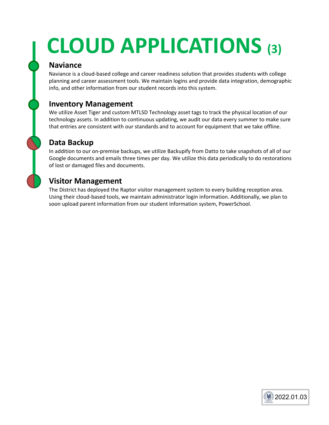# **CLOUD APPLICATIONS (3)**

#### **Naviance**

Naviance is a cloud-based college and career readiness solution that provides students with college planning and career assessment tools. We maintain logins and provide data integration, demographic info, and other information from our student records into this system.

#### **Inventory Management**

We utilize Asset Tiger and custom MTLSD Technology asset tags to track the physical location of our technology assets. In addition to continuous updating, we audit our data every summer to make sure that entries are consistent with our standards and to account for equipment that we take offline.

#### **Data Backup**

In addition to our on-premise backups, we utilize Backupify from Datto to take snapshots of all of our Google documents and emails three times per day. We utilize this data periodically to do restorations of lost or damaged files and documents.

#### **Visitor Management**

The District has deployed the Raptor visitor management system to every building reception area. Using their cloud-based tools, we maintain administrator login information. Additionally, we plan to soon upload parent information from our student information system, PowerSchool.

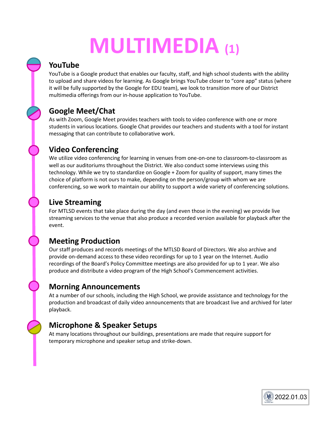# **MULTIMEDIA (1)**

#### **YouTube**

YouTube is a Google product that enables our faculty, staff, and high school students with the ability to upload and share videos for learning. As Google brings YouTube closer to "core app" status (where it will be fully supported by the Google for EDU team), we look to transition more of our District multimedia offerings from our in-house application to YouTube.

#### **Google Meet/Chat**

As with Zoom, Google Meet provides teachers with tools to video conference with one or more students in various locations. Google Chat provides our teachers and students with a tool for instant messaging that can contribute to collaborative work.

#### **Video Conferencing**

We utilize video conferencing for learning in venues from one-on-one to classroom-to-classroom as well as our auditoriums throughout the District. We also conduct some interviews using this technology. While we try to standardize on Google + Zoom for quality of support, many times the choice of platform is not ours to make, depending on the person/group with whom we are conferencing, so we work to maintain our ability to support a wide variety of conferencing solutions.

#### **Live Streaming**

For MTLSD events that take place during the day (and even those in the evening) we provide live streaming services to the venue that also produce a recorded version available for playback after the event.

#### **Meeting Production**

Our staff produces and records meetings of the MTLSD Board of Directors. We also archive and provide on-demand access to these video recordings for up to 1 year on the Internet. Audio recordings of the Board's Policy Committee meetings are also provided for up to 1 year. We also produce and distribute a video program of the High School's Commencement activities.

#### **Morning Announcements**

At a number of our schools, including the High School, we provide assistance and technology for the production and broadcast of daily video announcements that are broadcast live and archived for later playback.

#### **Microphone & Speaker Setups**

At many locations throughout our buildings, presentations are made that require support for temporary microphone and speaker setup and strike-down.

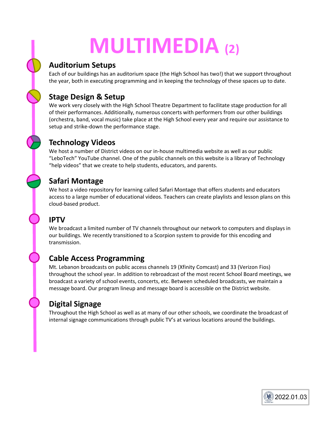# **MULTIMEDIA (2)**

#### **Auditorium Setups**

Each of our buildings has an auditorium space (the High School has two!) that we support throughout the year, both in executing programming and in keeping the technology of these spaces up to date.

#### **Stage Design & Setup**

We work very closely with the High School Theatre Department to facilitate stage production for all of their performances. Additionally, numerous concerts with performers from our other buildings (orchestra, band, vocal music) take place at the High School every year and require our assistance to setup and strike-down the performance stage.

#### **Technology Videos**

We host a number of District videos on our in-house multimedia website as well as our public "LeboTech" YouTube channel. One of the public channels on this website is a library of Technology "help videos" that we create to help students, educators, and parents.

#### **Safari Montage**

We host a video repository for learning called Safari Montage that offers students and educators access to a large number of educational videos. Teachers can create playlists and lesson plans on this cloud-based product.

#### **IPTV**

We broadcast a limited number of TV channels throughout our network to computers and displays in our buildings. We recently transitioned to a Scorpion system to provide for this encoding and transmission.

#### **Cable Access Programming**

Mt. Lebanon broadcasts on public access channels 19 (Xfinity Comcast) and 33 (Verizon Fios) throughout the school year. In addition to rebroadcast of the most recent School Board meetings, we broadcast a variety of school events, concerts, etc. Between scheduled broadcasts, we maintain a message board. Our program lineup and message board is accessible on the District website.

#### **Digital Signage**

Throughout the High School as well as at many of our other schools, we coordinate the broadcast of internal signage communications through public TV's at various locations around the buildings.

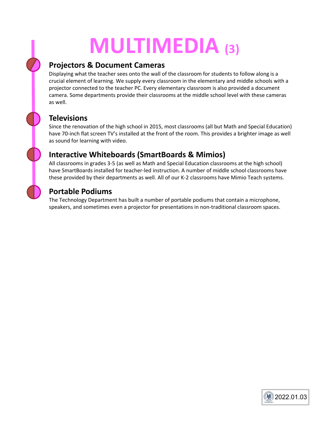# **MULTIMEDIA (3)**

#### **Projectors & Document Cameras**

Displaying what the teacher sees onto the wall of the classroom for students to follow along is a crucial element of learning. We supply every classroom in the elementary and middle schools with a projector connected to the teacher PC. Every elementary classroom is also provided a document camera. Some departments provide their classrooms at the middle school level with these cameras as well.

#### **Televisions**

Since the renovation of the high school in 2015, most classrooms (all but Math and Special Education) have 70-inch flat screen TV's installed at the front of the room. This provides a brighter image as well as sound for learning with video.

#### **Interactive Whiteboards (SmartBoards & Mimios)**

All classrooms in grades 3-5 (as well as Math and Special Education classrooms at the high school) have SmartBoards installed for teacher-led instruction. A number of middle school classrooms have these provided by their departments as well. All of our K-2 classrooms have Mimio Teach systems.

#### **Portable Podiums**

The Technology Department has built a number of portable podiums that contain a microphone, speakers, and sometimes even a projector for presentations in non-traditional classroom spaces.

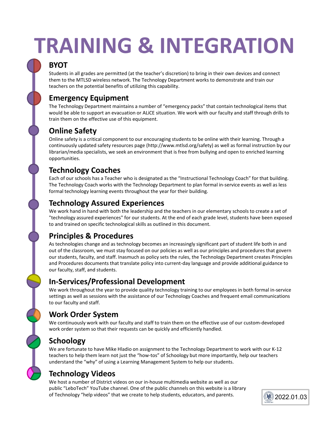# **TRAINING & INTEGRATION**

#### **BYOT**

Students in all grades are permitted (at the teacher's discretion) to bring in their own devices and connect them to the MTLSD wireless network. The Technology Department works to demonstrate and train our teachers on the potential benefits of utilizing this capability.

#### **Emergency Equipment**

The Technology Department maintains a number of "emergency packs" that contain technological items that would be able to support an evacuation or ALiCE situation. We work with our faculty and staff through drills to train them on the effective use of this equipment.

#### **Online Safety**

Online safety is a critical component to our encouraging students to be online with their learning. Through a continuously updated safety resources page (http://www.mtlsd.org/safety) as well as formal instruction by our librarian/media specialists, we seek an environment that is free from bullying and open to enriched learning opportunities.

#### **Technology Coaches**

Each of our schools has a Teacher who is designated as the "Instructional Technology Coach" for that building. The Technology Coach works with the Technology Department to plan formal in-service events as well as less formal technology learning events throughout the year for their building.

#### **Technology Assured Experiences**

We work hand in hand with both the leadership and the teachers in our elementary schools to create a set of "technology assured experiences" for our students. At the end of each grade level, students have been exposed to and trained on specific technological skills as outlined in this document.

#### **Principles & Procedures**

As technologies change and as technology becomes an increasingly significant part of student life both in and out of the classroom, we must stay focused on our policies as well as our principles and procedures that govern our students, faculty, and staff. Inasmuch as policy sets the rules, the Technology Department creates Principles and Procedures documents that translate policy into current-day language and provide additional guidance to our faculty, staff, and students.

#### **In-Services/Professional Development**

We work throughout the year to provide quality technology training to our employees in both formal in-service settings as well as sessions with the assistance of our Technology Coaches and frequent email communications to our faculty and staff.

#### **Work Order System**

We continuously work with our faculty and staff to train them on the effective use of our custom-developed work order system so that their requests can be quickly and efficiently handled.

#### **Schoology**

We are fortunate to have Mike Hladio on assignment to the Technology Department to work with our K-12 teachers to help them learn not just the "how-tos" of Schoology but more importantly, help our teachers understand the "why" of using a Learning Management System to help our students.

#### **Technology Videos**

We host a number of District videos on our in-house multimedia website as well as our public "LeboTech" YouTube channel. One of the public channels on this website is a library of Technology "help videos" that we create to help students, educators, and parents.

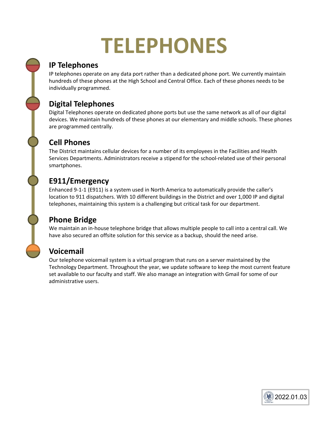### **TELEPHONES**

#### **IP Telephones**

IP telephones operate on any data port rather than a dedicated phone port. We currently maintain hundreds of these phones at the High School and Central Office. Each of these phones needs to be individually programmed.

#### **Digital Telephones**

Digital Telephones operate on dedicated phone ports but use the same network as all of our digital devices. We maintain hundreds of these phones at our elementary and middle schools. These phones are programmed centrally.

#### **Cell Phones**

The District maintains cellular devices for a number of its employees in the Facilities and Health Services Departments. Administrators receive a stipend for the school-related use of their personal smartphones.

#### **E911/Emergency**

Enhanced 9-1-1 (E911) is a system used in North America to automatically provide the caller's location to 911 dispatchers. With 10 different buildings in the District and over 1,000 IP and digital telephones, maintaining this system is a challenging but critical task for our department.

#### **Phone Bridge**

We maintain an in-house telephone bridge that allows multiple people to call into a central call. We have also secured an offsite solution for this service as a backup, should the need arise.

#### **Voicemail**

Our telephone voicemail system is a virtual program that runs on a server maintained by the Technology Department. Throughout the year, we update software to keep the most current feature set available to our faculty and staff. We also manage an integration with Gmail for some of our administrative users.